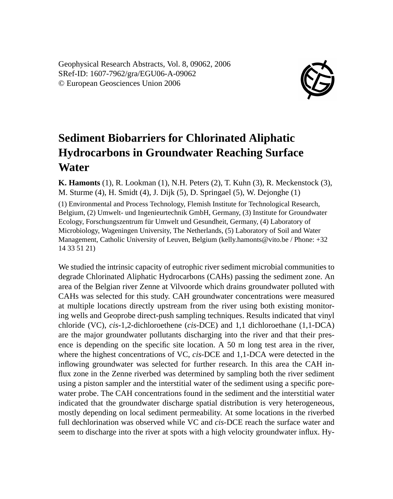Geophysical Research Abstracts, Vol. 8, 09062, 2006 SRef-ID: 1607-7962/gra/EGU06-A-09062 © European Geosciences Union 2006



## **Sediment Biobarriers for Chlorinated Aliphatic Hydrocarbons in Groundwater Reaching Surface Water**

**K. Hamonts** (1), R. Lookman (1), N.H. Peters (2), T. Kuhn (3), R. Meckenstock (3), M. Sturme (4), H. Smidt (4), J. Dijk (5), D. Springael (5), W. Dejonghe (1) (1) Environmental and Process Technology, Flemish Institute for Technological Research,

Belgium, (2) Umwelt- und Ingenieurtechnik GmbH, Germany, (3) Institute for Groundwater Ecology, Forschungszentrum für Umwelt und Gesundheit, Germany, (4) Laboratory of Microbiology, Wageningen University, The Netherlands, (5) Laboratory of Soil and Water Management, Catholic University of Leuven, Belgium (kelly.hamonts@vito.be / Phone: +32 14 33 51 21)

We studied the intrinsic capacity of eutrophic river sediment microbial communities to degrade Chlorinated Aliphatic Hydrocarbons (CAHs) passing the sediment zone. An area of the Belgian river Zenne at Vilvoorde which drains groundwater polluted with CAHs was selected for this study. CAH groundwater concentrations were measured at multiple locations directly upstream from the river using both existing monitoring wells and Geoprobe direct-push sampling techniques. Results indicated that vinyl chloride (VC), *cis*-1,2-dichloroethene (*cis*-DCE) and 1,1 dichloroethane (1,1-DCA) are the major groundwater pollutants discharging into the river and that their presence is depending on the specific site location. A 50 m long test area in the river, where the highest concentrations of VC, *cis*-DCE and 1,1-DCA were detected in the inflowing groundwater was selected for further research. In this area the CAH influx zone in the Zenne riverbed was determined by sampling both the river sediment using a piston sampler and the interstitial water of the sediment using a specific porewater probe. The CAH concentrations found in the sediment and the interstitial water indicated that the groundwater discharge spatial distribution is very heterogeneous, mostly depending on local sediment permeability. At some locations in the riverbed full dechlorination was observed while VC and *cis*-DCE reach the surface water and seem to discharge into the river at spots with a high velocity groundwater influx. Hy